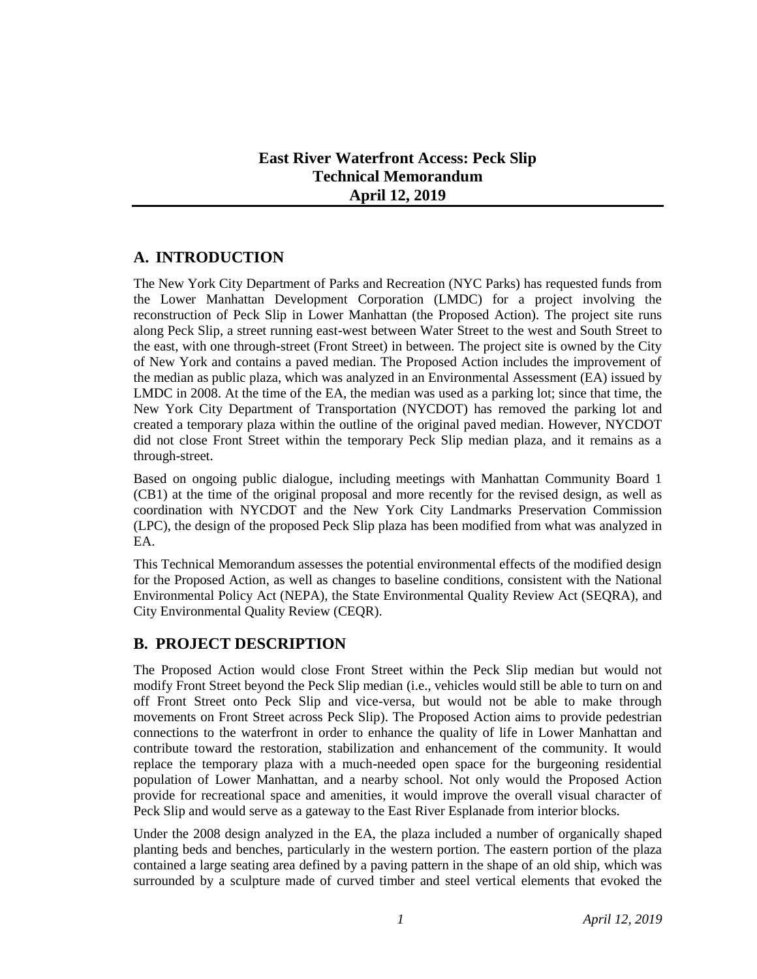## **East River Waterfront Access: Peck Slip Technical Memorandum April 12, 2019**

# **A. INTRODUCTION**

The New York City Department of Parks and Recreation (NYC Parks) has requested funds from the Lower Manhattan Development Corporation (LMDC) for a project involving the reconstruction of Peck Slip in Lower Manhattan (the Proposed Action). The project site runs along Peck Slip, a street running east-west between Water Street to the west and South Street to the east, with one through-street (Front Street) in between. The project site is owned by the City of New York and contains a paved median. The Proposed Action includes the improvement of the median as public plaza, which was analyzed in an Environmental Assessment (EA) issued by LMDC in 2008. At the time of the EA, the median was used as a parking lot; since that time, the New York City Department of Transportation (NYCDOT) has removed the parking lot and created a temporary plaza within the outline of the original paved median. However, NYCDOT did not close Front Street within the temporary Peck Slip median plaza, and it remains as a through-street.

Based on ongoing public dialogue, including meetings with Manhattan Community Board 1 (CB1) at the time of the original proposal and more recently for the revised design, as well as coordination with NYCDOT and the New York City Landmarks Preservation Commission (LPC), the design of the proposed Peck Slip plaza has been modified from what was analyzed in EA.

This Technical Memorandum assesses the potential environmental effects of the modified design for the Proposed Action, as well as changes to baseline conditions, consistent with the National Environmental Policy Act (NEPA), the State Environmental Quality Review Act (SEQRA), and City Environmental Quality Review (CEQR).

# **B. PROJECT DESCRIPTION**

The Proposed Action would close Front Street within the Peck Slip median but would not modify Front Street beyond the Peck Slip median (i.e., vehicles would still be able to turn on and off Front Street onto Peck Slip and vice-versa, but would not be able to make through movements on Front Street across Peck Slip). The Proposed Action aims to provide pedestrian connections to the waterfront in order to enhance the quality of life in Lower Manhattan and contribute toward the restoration, stabilization and enhancement of the community. It would replace the temporary plaza with a much-needed open space for the burgeoning residential population of Lower Manhattan, and a nearby school. Not only would the Proposed Action provide for recreational space and amenities, it would improve the overall visual character of Peck Slip and would serve as a gateway to the East River Esplanade from interior blocks.

Under the 2008 design analyzed in the EA, the plaza included a number of organically shaped planting beds and benches, particularly in the western portion. The eastern portion of the plaza contained a large seating area defined by a paving pattern in the shape of an old ship, which was surrounded by a sculpture made of curved timber and steel vertical elements that evoked the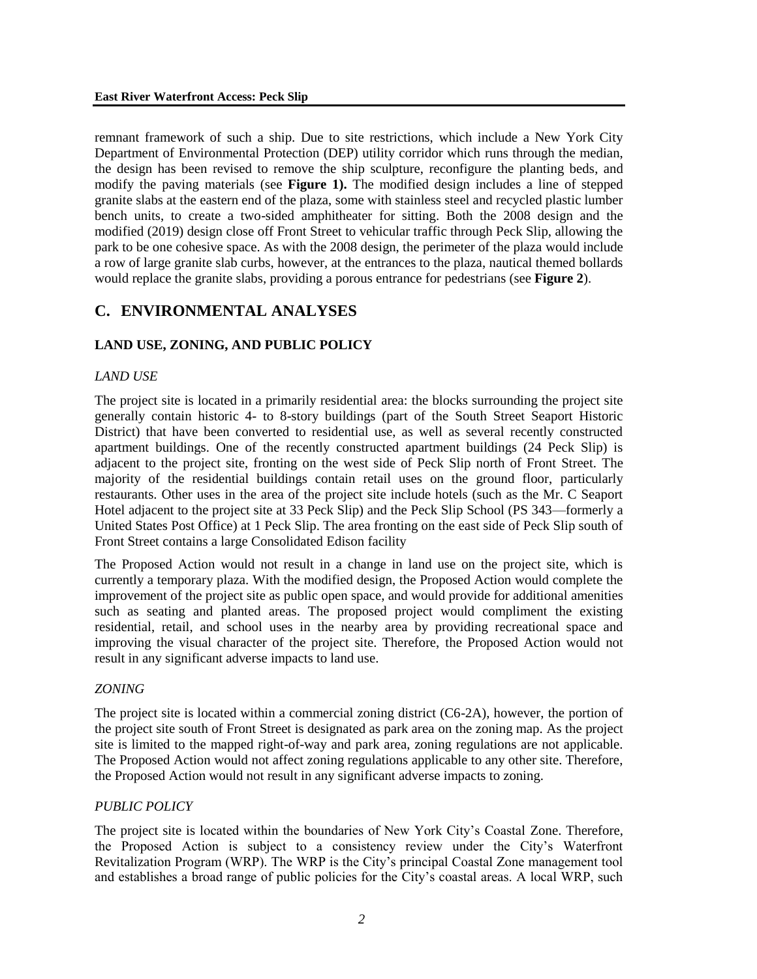remnant framework of such a ship. Due to site restrictions, which include a New York City Department of Environmental Protection (DEP) utility corridor which runs through the median, the design has been revised to remove the ship sculpture, reconfigure the planting beds, and modify the paving materials (see **Figure 1).** The modified design includes a line of stepped granite slabs at the eastern end of the plaza, some with stainless steel and recycled plastic lumber bench units, to create a two-sided amphitheater for sitting. Both the 2008 design and the modified (2019) design close off Front Street to vehicular traffic through Peck Slip, allowing the park to be one cohesive space. As with the 2008 design, the perimeter of the plaza would include a row of large granite slab curbs, however, at the entrances to the plaza, nautical themed bollards would replace the granite slabs, providing a porous entrance for pedestrians (see **Figure 2**).

# **C. ENVIRONMENTAL ANALYSES**

## **LAND USE, ZONING, AND PUBLIC POLICY**

#### *LAND USE*

The project site is located in a primarily residential area: the blocks surrounding the project site generally contain historic 4- to 8-story buildings (part of the South Street Seaport Historic District) that have been converted to residential use, as well as several recently constructed apartment buildings. One of the recently constructed apartment buildings (24 Peck Slip) is adjacent to the project site, fronting on the west side of Peck Slip north of Front Street. The majority of the residential buildings contain retail uses on the ground floor, particularly restaurants. Other uses in the area of the project site include hotels (such as the Mr. C Seaport Hotel adjacent to the project site at 33 Peck Slip) and the Peck Slip School (PS 343—formerly a United States Post Office) at 1 Peck Slip. The area fronting on the east side of Peck Slip south of Front Street contains a large Consolidated Edison facility

The Proposed Action would not result in a change in land use on the project site, which is currently a temporary plaza. With the modified design, the Proposed Action would complete the improvement of the project site as public open space, and would provide for additional amenities such as seating and planted areas. The proposed project would compliment the existing residential, retail, and school uses in the nearby area by providing recreational space and improving the visual character of the project site. Therefore, the Proposed Action would not result in any significant adverse impacts to land use.

#### *ZONING*

The project site is located within a commercial zoning district (C6-2A), however, the portion of the project site south of Front Street is designated as park area on the zoning map. As the project site is limited to the mapped right-of-way and park area, zoning regulations are not applicable. The Proposed Action would not affect zoning regulations applicable to any other site. Therefore, the Proposed Action would not result in any significant adverse impacts to zoning.

### *PUBLIC POLICY*

The project site is located within the boundaries of New York City's Coastal Zone. Therefore, the Proposed Action is subject to a consistency review under the City's Waterfront Revitalization Program (WRP). The WRP is the City's principal Coastal Zone management tool and establishes a broad range of public policies for the City's coastal areas. A local WRP, such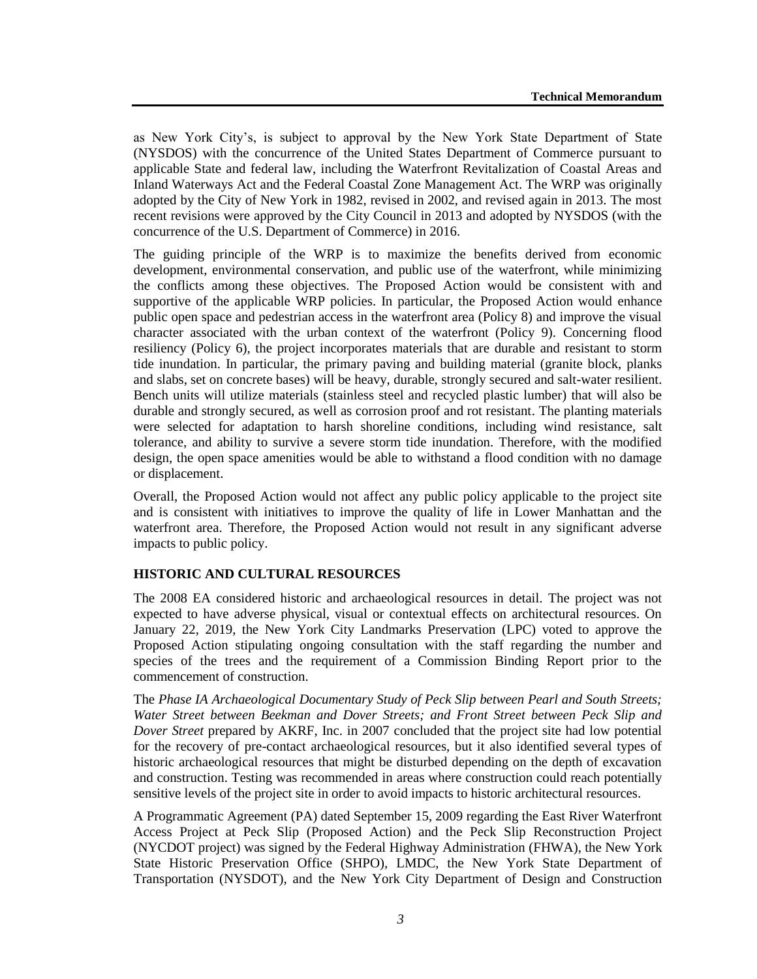as New York City's, is subject to approval by the New York State Department of State (NYSDOS) with the concurrence of the United States Department of Commerce pursuant to applicable State and federal law, including the Waterfront Revitalization of Coastal Areas and Inland Waterways Act and the Federal Coastal Zone Management Act. The WRP was originally adopted by the City of New York in 1982, revised in 2002, and revised again in 2013. The most recent revisions were approved by the City Council in 2013 and adopted by NYSDOS (with the concurrence of the U.S. Department of Commerce) in 2016.

The guiding principle of the WRP is to maximize the benefits derived from economic development, environmental conservation, and public use of the waterfront, while minimizing the conflicts among these objectives. The Proposed Action would be consistent with and supportive of the applicable WRP policies. In particular, the Proposed Action would enhance public open space and pedestrian access in the waterfront area (Policy 8) and improve the visual character associated with the urban context of the waterfront (Policy 9). Concerning flood resiliency (Policy 6), the project incorporates materials that are durable and resistant to storm tide inundation. In particular, the primary paving and building material (granite block, planks and slabs, set on concrete bases) will be heavy, durable, strongly secured and salt-water resilient. Bench units will utilize materials (stainless steel and recycled plastic lumber) that will also be durable and strongly secured, as well as corrosion proof and rot resistant. The planting materials were selected for adaptation to harsh shoreline conditions, including wind resistance, salt tolerance, and ability to survive a severe storm tide inundation. Therefore, with the modified design, the open space amenities would be able to withstand a flood condition with no damage or displacement.

Overall, the Proposed Action would not affect any public policy applicable to the project site and is consistent with initiatives to improve the quality of life in Lower Manhattan and the waterfront area. Therefore, the Proposed Action would not result in any significant adverse impacts to public policy.

## **HISTORIC AND CULTURAL RESOURCES**

The 2008 EA considered historic and archaeological resources in detail. The project was not expected to have adverse physical, visual or contextual effects on architectural resources. On January 22, 2019, the New York City Landmarks Preservation (LPC) voted to approve the Proposed Action stipulating ongoing consultation with the staff regarding the number and species of the trees and the requirement of a Commission Binding Report prior to the commencement of construction.

The *Phase IA Archaeological Documentary Study of Peck Slip between Pearl and South Streets; Water Street between Beekman and Dover Streets; and Front Street between Peck Slip and Dover Street* prepared by AKRF, Inc. in 2007 concluded that the project site had low potential for the recovery of pre-contact archaeological resources, but it also identified several types of historic archaeological resources that might be disturbed depending on the depth of excavation and construction. Testing was recommended in areas where construction could reach potentially sensitive levels of the project site in order to avoid impacts to historic architectural resources.

A Programmatic Agreement (PA) dated September 15, 2009 regarding the East River Waterfront Access Project at Peck Slip (Proposed Action) and the Peck Slip Reconstruction Project (NYCDOT project) was signed by the Federal Highway Administration (FHWA), the New York State Historic Preservation Office (SHPO), LMDC, the New York State Department of Transportation (NYSDOT), and the New York City Department of Design and Construction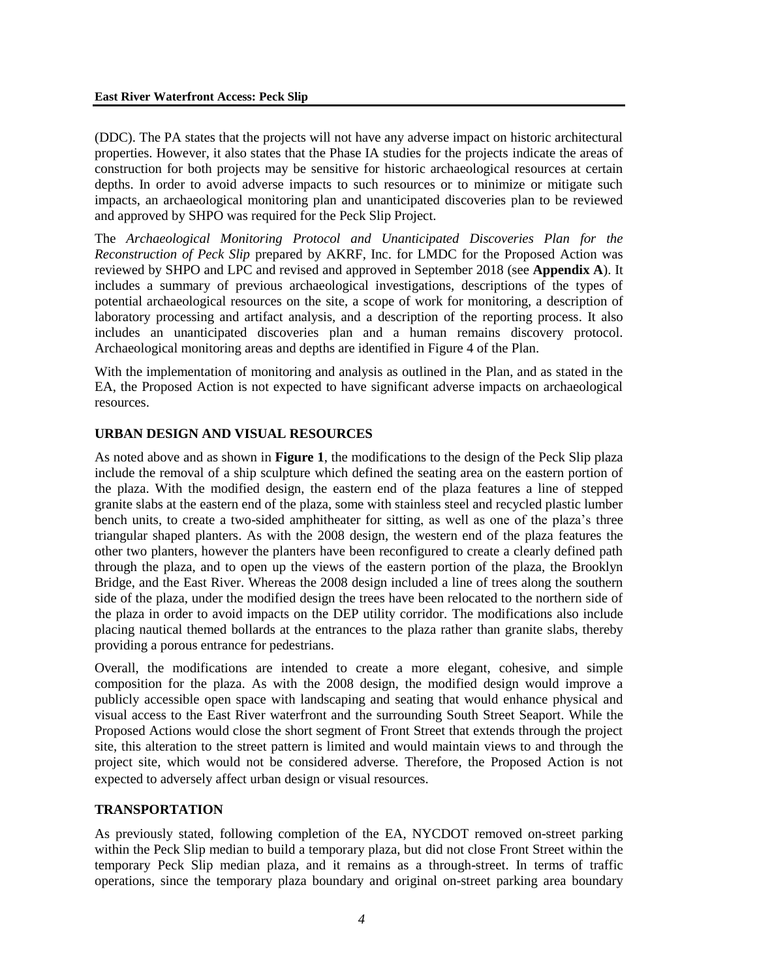(DDC). The PA states that the projects will not have any adverse impact on historic architectural properties. However, it also states that the Phase IA studies for the projects indicate the areas of construction for both projects may be sensitive for historic archaeological resources at certain depths. In order to avoid adverse impacts to such resources or to minimize or mitigate such impacts, an archaeological monitoring plan and unanticipated discoveries plan to be reviewed and approved by SHPO was required for the Peck Slip Project.

The *Archaeological Monitoring Protocol and Unanticipated Discoveries Plan for the Reconstruction of Peck Slip* prepared by AKRF, Inc. for LMDC for the Proposed Action was reviewed by SHPO and LPC and revised and approved in September 2018 (see **Appendix A**). It includes a summary of previous archaeological investigations, descriptions of the types of potential archaeological resources on the site, a scope of work for monitoring, a description of laboratory processing and artifact analysis, and a description of the reporting process. It also includes an unanticipated discoveries plan and a human remains discovery protocol. Archaeological monitoring areas and depths are identified in Figure 4 of the Plan.

With the implementation of monitoring and analysis as outlined in the Plan, and as stated in the EA, the Proposed Action is not expected to have significant adverse impacts on archaeological resources.

### **URBAN DESIGN AND VISUAL RESOURCES**

As noted above and as shown in **Figure 1**, the modifications to the design of the Peck Slip plaza include the removal of a ship sculpture which defined the seating area on the eastern portion of the plaza. With the modified design, the eastern end of the plaza features a line of stepped granite slabs at the eastern end of the plaza, some with stainless steel and recycled plastic lumber bench units, to create a two-sided amphitheater for sitting, as well as one of the plaza's three triangular shaped planters. As with the 2008 design, the western end of the plaza features the other two planters, however the planters have been reconfigured to create a clearly defined path through the plaza, and to open up the views of the eastern portion of the plaza, the Brooklyn Bridge, and the East River. Whereas the 2008 design included a line of trees along the southern side of the plaza, under the modified design the trees have been relocated to the northern side of the plaza in order to avoid impacts on the DEP utility corridor. The modifications also include placing nautical themed bollards at the entrances to the plaza rather than granite slabs, thereby providing a porous entrance for pedestrians.

Overall, the modifications are intended to create a more elegant, cohesive, and simple composition for the plaza. As with the 2008 design, the modified design would improve a publicly accessible open space with landscaping and seating that would enhance physical and visual access to the East River waterfront and the surrounding South Street Seaport. While the Proposed Actions would close the short segment of Front Street that extends through the project site, this alteration to the street pattern is limited and would maintain views to and through the project site, which would not be considered adverse. Therefore, the Proposed Action is not expected to adversely affect urban design or visual resources.

## **TRANSPORTATION**

As previously stated, following completion of the EA, NYCDOT removed on-street parking within the Peck Slip median to build a temporary plaza, but did not close Front Street within the temporary Peck Slip median plaza, and it remains as a through-street. In terms of traffic operations, since the temporary plaza boundary and original on-street parking area boundary